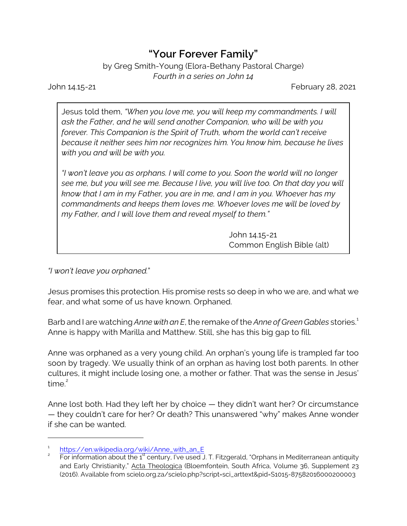## **"Your Forever Family"**

by Greg Smith-Young (Elora-Bethany Pastoral Charge) *Fourth in a series on John 14*

John 14.15-21 February 28, 2021

Jesus told them, *"When you love me, you will keep my commandments. I will ask the Father, and he will send another Companion, who will be with you forever. This Companion is the Spirit of Truth, whom the world can't receive because it neither sees him nor recognizes him. You know him, because he lives with you and will be with you.*

*"I won't leave you as orphans. I will come to you. Soon the world will no longer see me, but you will see me. Because I live, you will live too. On that day you will know that I am in my Father, you are in me, and I am in you. Whoever has my commandments and keeps them loves me. Whoever loves me will be loved by my Father, and I will love them and reveal myself to them."*

> John 14.15-21 Common English Bible (alt)

*"I won't leave you orphaned.*"

Jesus promises this protection. His promise rests so deep in who we are, and what we fear, and what some of us have known. Orphaned.

Barb and I are watching *Anne with an E*, the remake of the *Anne of Green Gables* stories.<sup>1</sup> Anne is happy with Marilla and Matthew. Still, she has this big gap to fill.

Anne was orphaned as a very young child. An orphan's young life is trampled far too soon by tragedy. We usually think of an orphan as having lost both parents. In other cultures, it might include losing one, a mother or father. That was the sense in Jesus' time $^2$ 

Anne lost both. Had they left her by choice — they didn't want her? Or circumstance — they couldn't care for her? Or death? This unanswered "why" makes Anne wonder if she can be wanted.

<sup>1</sup> [https://en.wikipedia.org/wiki/Anne\\_with\\_an\\_E](https://en.wikipedia.org/wiki/Anne_with_an_E)

<sup>2</sup> For information about the  $1<sup>st</sup>$  century, I've used J. T. Fitzgerald, "Orphans in Mediterranean antiquity and Early Christianity," Acta Theologica (Bloemfontein, South Africa, Volume 36, Supplement 23 (2016). Available from scielo.org.za/scielo.php?script=sci\_arttext&pid=S1015-87582016000200003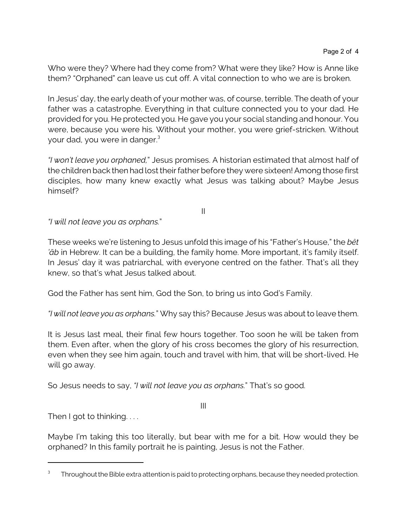Who were they? Where had they come from? What were they like? How is Anne like them? "Orphaned" can leave us cut off. A vital connection to who we are is broken.

In Jesus' day, the early death of your mother was, of course, terrible. The death of your father was a catastrophe. Everything in that culture connected you to your dad. He provided for you. He protected you. He gave you your social standing and honour. You were, because you were his. Without your mother, you were grief-stricken. Without your dad, you were in danger.<sup>3</sup>

*"I won't leave you orphaned,*" Jesus promises. A historian estimated that almost half of the children back then had lost their father before they were sixteen! Among those first disciples, how many knew exactly what Jesus was talking about? Maybe Jesus himself?

II

*"I will not leave you as orphans.*"

These weeks we're listening to Jesus unfold this image of his "Father's House," the *bêt 'âb* in Hebrew. It can be a building, the family home. More important, it's family itself. In Jesus' day it was patriarchal, with everyone centred on the father. That's all they knew, so that's what Jesus talked about.

God the Father has sent him, God the Son, to bring us into God's Family.

*"I will not leave you as orphans.*" Why say this? Because Jesus was about to leave them.

It is Jesus last meal, their final few hours together. Too soon he will be taken from them. Even after, when the glory of his cross becomes the glory of his resurrection, even when they see him again, touch and travel with him, that will be short-lived. He will go away.

So Jesus needs to say, *"I will not leave you as orphans.*" That's so good.

III

Then I got to thinking....

Maybe I'm taking this too literally, but bear with me for a bit. How would they be orphaned? In this family portrait he is painting, Jesus is not the Father.

<sup>3</sup> Throughout the Bible extra attention is paid to protecting orphans, because they needed protection.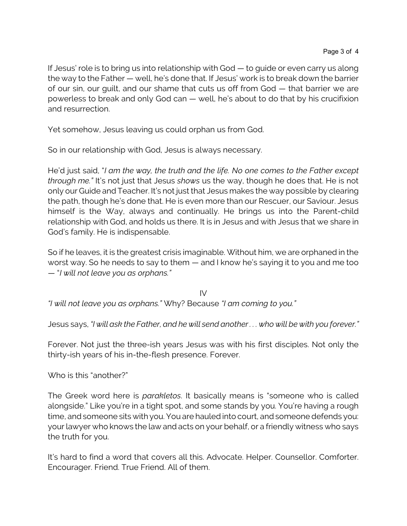If Jesus' role is to bring us into relationship with God — to guide or even carry us along the way to the Father — well, he's done that. If Jesus' work is to break down the barrier of our sin, our guilt, and our shame that cuts us off from God — that barrier we are powerless to break and only God can — well, he's about to do that by his crucifixion and resurrection.

Yet somehow, Jesus leaving us could orphan us from God.

So in our relationship with God, Jesus is always necessary.

He'd just said, "*I am the way, the truth and the life. No one comes to the Father except through me."* It's not just that Jesus *shows* us the way, though he does that. He is not only our Guide and Teacher. It's not just that Jesus makes the way possible by clearing the path, though he's done that. He is even more than our Rescuer, our Saviour. Jesus himself is the Way, always and continually. He brings us into the Parent-child relationship with God, and holds us there. It is in Jesus and with Jesus that we share in God's family. He is indispensable.

So if he leaves, it is the greatest crisis imaginable. Without him, we are orphaned in the worst way. So he needs to say to them — and I know he's saying it to you and me too — "*I will not leave you as orphans."*

IV *"I will not leave you as orphans."* Why? Because *"I am coming to you."*

Jesus says, *"I will ask the Father, and he will send another . . . who will be with you forever."*

Forever. Not just the three-ish years Jesus was with his first disciples. Not only the thirty-ish years of his in-the-flesh presence. Forever.

Who is this "another?"

The Greek word here is *parakletos*. It basically means is "someone who is called alongside." Like you're in a tight spot, and some stands by you. You're having a rough time, and someone sits with you. You are hauled into court, and someone defends you: your lawyer who knows the law and acts on your behalf, or a friendly witness who says the truth for you.

It's hard to find a word that covers all this. Advocate. Helper. Counsellor. Comforter. Encourager. Friend. True Friend. All of them.